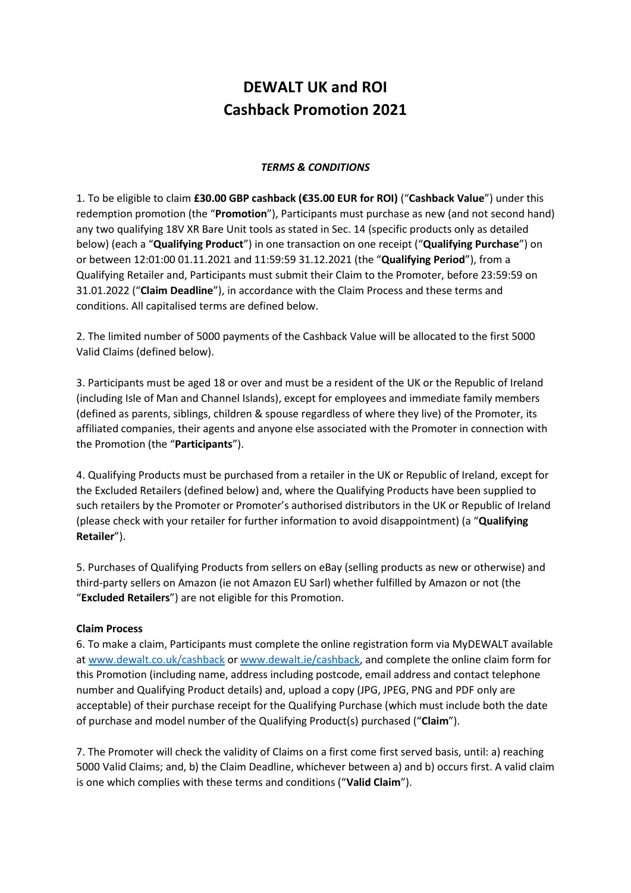## **DEWALT UK and ROI Cashback Promotion 2021**

## *TERMS & CONDITIONS*

1. To be eligible to claim **£30.00 GBP cashback (€35.00 EUR for ROI)** ("**Cashback Value**") under this redemption promotion (the "**Promotion**"), Participants must purchase as new (and not second hand) any two qualifying 18V XR Bare Unit tools as stated in Sec. 14 (specific products only as detailed below) (each a "**Qualifying Product**") in one transaction on one receipt ("**Qualifying Purchase**") on or between 12:01:00 01.11.2021 and 11:59:59 31.12.2021 (the "**Qualifying Period**"), from a Qualifying Retailer and, Participants must submit their Claim to the Promoter, before 23:59:59 on 31.01.2022 ("**Claim Deadline**"), in accordance with the Claim Process and these terms and conditions. All capitalised terms are defined below.

2. The limited number of 5000 payments of the Cashback Value will be allocated to the first 5000 Valid Claims (defined below).

3. Participants must be aged 18 or over and must be a resident of the UK or the Republic of Ireland (including Isle of Man and Channel Islands), except for employees and immediate family members (defined as parents, siblings, children & spouse regardless of where they live) of the Promoter, its affiliated companies, their agents and anyone else associated with the Promoter in connection with the Promotion (the "**Participants**").

4. Qualifying Products must be purchased from a retailer in the UK or Republic of Ireland, except for the Excluded Retailers (defined below) and, where the Qualifying Products have been supplied to such retailers by the Promoter or Promoter's authorised distributors in the UK or Republic of Ireland (please check with your retailer for further information to avoid disappointment) (a "**Qualifying Retailer**").

5. Purchases of Qualifying Products from sellers on eBay (selling products as new or otherwise) and third-party sellers on Amazon (ie not Amazon EU Sarl) whether fulfilled by Amazon or not (the "**Excluded Retailers**") are not eligible for this Promotion.

## **Claim Process**

6. To make a claim, Participants must complete the online registration form via MyDEWALT available at [www.dewalt.co.uk/](http://www.dewalt.co.uk/)cashback o[r www.dewalt.ie/](http://www.dewalt.ie/)cashback, and complete the online claim form for this Promotion (including name, address including postcode, email address and contact telephone number and Qualifying Product details) and, upload a copy (JPG, JPEG, PNG and PDF only are acceptable) of their purchase receipt for the Qualifying Purchase (which must include both the date of purchase and model number of the Qualifying Product(s) purchased ("**Claim**").

7. The Promoter will check the validity of Claims on a first come first served basis, until: a) reaching 5000 Valid Claims; and, b) the Claim Deadline, whichever between a) and b) occurs first. A valid claim is one which complies with these terms and conditions ("**Valid Claim**").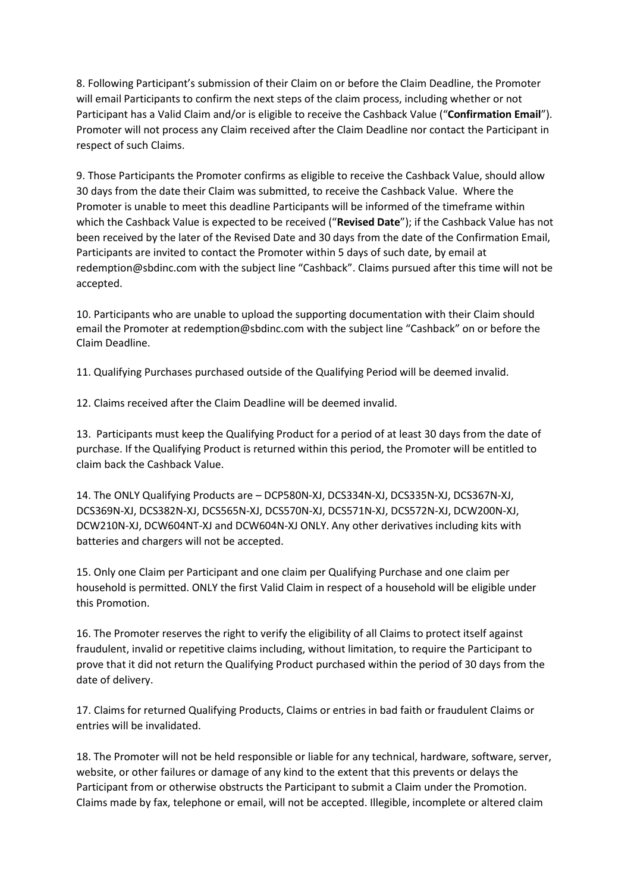8. Following Participant's submission of their Claim on or before the Claim Deadline, the Promoter will email Participants to confirm the next steps of the claim process, including whether or not Participant has a Valid Claim and/or is eligible to receive the Cashback Value ("**Confirmation Email**"). Promoter will not process any Claim received after the Claim Deadline nor contact the Participant in respect of such Claims.

9. Those Participants the Promoter confirms as eligible to receive the Cashback Value, should allow 30 days from the date their Claim was submitted, to receive the Cashback Value. Where the Promoter is unable to meet this deadline Participants will be informed of the timeframe within which the Cashback Value is expected to be received ("**Revised Date**"); if the Cashback Value has not been received by the later of the Revised Date and 30 days from the date of the Confirmation Email, Participants are invited to contact the Promoter within 5 days of such date, by email at redemption@sbdinc.com with the subject line "Cashback". Claims pursued after this time will not be accepted.

10. Participants who are unable to upload the supporting documentation with their Claim should email the Promoter at [redemption@sbdinc.com](mailto:redemption@sbdinc.com) with the subject line "Cashback" on or before the Claim Deadline.

11. Qualifying Purchases purchased outside of the Qualifying Period will be deemed invalid.

12. Claims received after the Claim Deadline will be deemed invalid.

13. Participants must keep the Qualifying Product for a period of at least 30 days from the date of purchase. If the Qualifying Product is returned within this period, the Promoter will be entitled to claim back the Cashback Value.

14. The ONLY Qualifying Products are – DCP580N-XJ, DCS334N-XJ, DCS335N-XJ, DCS367N-XJ, DCS369N-XJ, DCS382N-XJ, DCS565N-XJ, DCS570N-XJ, DCS571N-XJ, DCS572N-XJ, DCW200N-XJ, DCW210N-XJ, DCW604NT-XJ and DCW604N-XJ ONLY. Any other derivatives including kits with batteries and chargers will not be accepted.

15. Only one Claim per Participant and one claim per Qualifying Purchase and one claim per household is permitted. ONLY the first Valid Claim in respect of a household will be eligible under this Promotion.

16. The Promoter reserves the right to verify the eligibility of all Claims to protect itself against fraudulent, invalid or repetitive claims including, without limitation, to require the Participant to prove that it did not return the Qualifying Product purchased within the period of 30 days from the date of delivery.

17. Claims for returned Qualifying Products, Claims or entries in bad faith or fraudulent Claims or entries will be invalidated.

18. The Promoter will not be held responsible or liable for any technical, hardware, software, server, website, or other failures or damage of any kind to the extent that this prevents or delays the Participant from or otherwise obstructs the Participant to submit a Claim under the Promotion. Claims made by fax, telephone or email, will not be accepted. Illegible, incomplete or altered claim